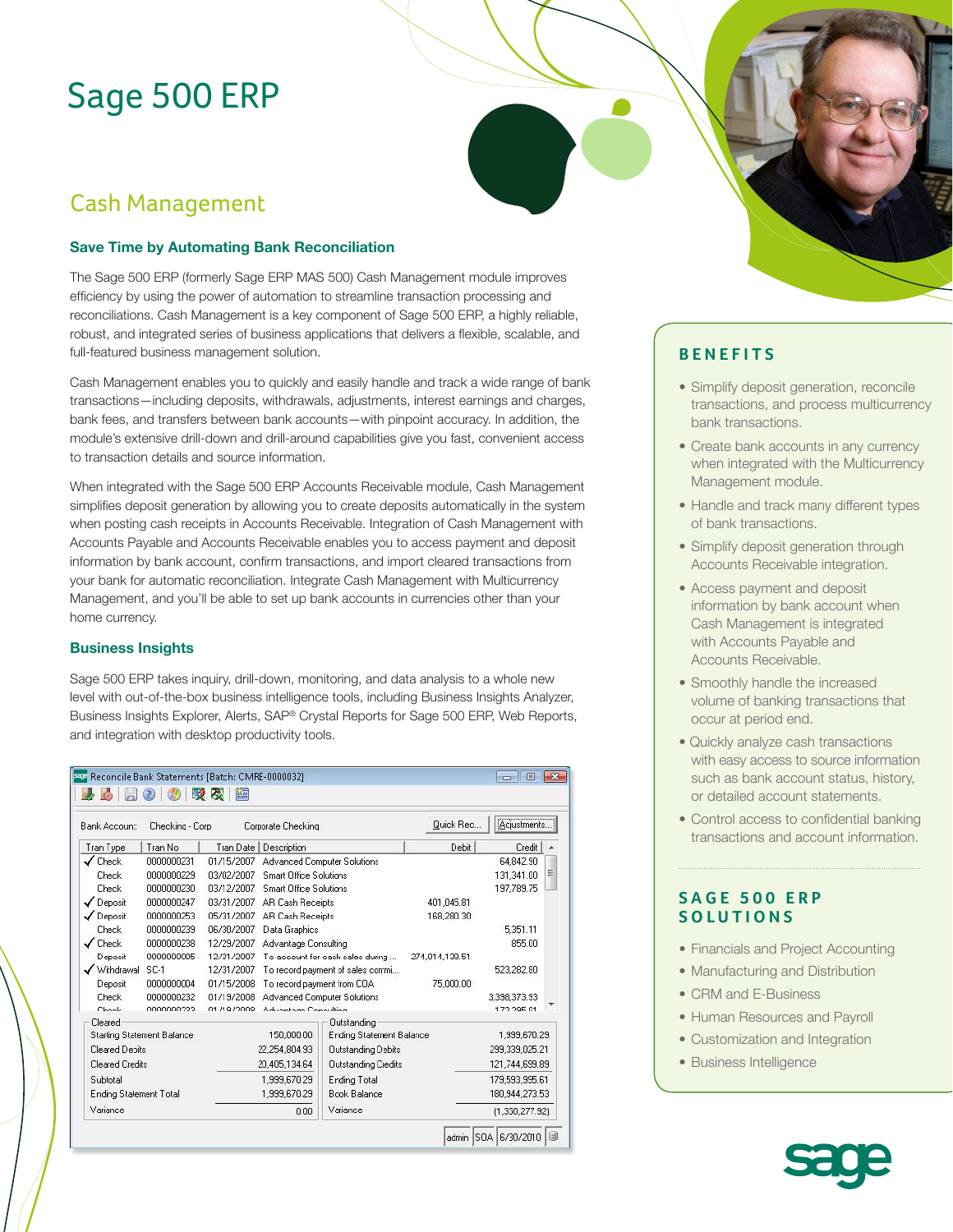# Sage 500 ERP

# Cash Management

#### **Save Time by Automating Bank Reconciliation**

The Sage 500 ERP (formerly Sage ERP MAS 500) Cash Management module improves efficiency by using the power of automation to streamline transaction processing and reconciliations. Cash Management is a key component of Sage 500 ERP, a highly reliable, robust, and integrated series of business applications that delivers a flexible, scalable, and full-featured business management solution.

Cash Management enables you to quickly and easily handle and track a wide range of bank transactions—including deposits, withdrawals, adjustments, interest earnings and charges, bank fees, and transfers between bank accounts—with pinpoint accuracy. In addition, the module's extensive drill-down and drill-around capabilities give you fast, convenient access to transaction details and source information.

When integrated with the Sage 500 ERP Accounts Receivable module, Cash Management simplifies deposit generation by allowing you to create deposits automatically in the system when posting cash receipts in Accounts Receivable. Integration of Cash Management with Accounts Payable and Accounts Receivable enables you to access payment and deposit information by bank account, confirm transactions, and import cleared transactions from your bank for automatic reconciliation. Integrate Cash Management with Multicurrency Management, and you'll be able to set up bank accounts in currencies other than your home currency.

#### **Business Insights**

Sage 500 ERP takes inquiry, drill-down, monitoring, and data analysis to a whole new level with out-of-the-box business intelligence tools, including Business Insights Analyzer, Business Insights Explorer, Alerts, SAP® Crystal Reports for Sage 500 ERP, Web Reports, and integration with desktop productivity tools.

| Bank Account<br>Checking - Corp<br>Corporate Checking |            |              |                                    |                                    | Quick Rec<br>[Acjustments] |                |   |
|-------------------------------------------------------|------------|--------------|------------------------------------|------------------------------------|----------------------------|----------------|---|
| Tran Type                                             | Tran No    | Tran Date    | Description                        |                                    | Debit                      | Credit         | ۸ |
| Check                                                 | 0000000231 | 01/15/2007   |                                    | <b>Advanced Computer Solutions</b> |                            | 64.842.90      |   |
| Check                                                 | 0000000229 | 03/02/2007   | <b>Smart Office Solutions</b>      |                                    |                            | 131,341.00     | Ξ |
| Check                                                 | 0000000230 | 03/12/2007   | <b>Smart Office Solutions</b>      |                                    |                            | 197.789.75     |   |
| ✔ Deposit                                             | 0000000247 | 03/31/2007   | AR Cash Receipts                   |                                    | 401.045.81                 |                |   |
| ✔ Deposit                                             | 0000000253 | 05/31/2007   | AR Cash Receipts                   |                                    | 168.280.30                 |                |   |
| Check                                                 | 0000000239 | 06/30/2007   | Data Graphics                      |                                    |                            | 5.351.11       |   |
| Check                                                 | 0000000238 | 12/29/2007   | Advantage Consulting               |                                    |                            | 855.00         |   |
| Deposit                                               | 0000000005 | 12/31/2007   | To account for cash sales during   |                                    | 274,014,139.51             |                |   |
| Withdrawal                                            | SC-1       | 12/31/2007   | To record payment of sales commi   |                                    |                            | 523,282.80     |   |
| Deposit                                               | 0000000004 | 01/15/2008   | To record payment from COA         |                                    | 75,000.00                  |                |   |
| Check                                                 | 0000000232 | 01/19/2008   | <b>Advanced Computer Solutions</b> |                                    |                            | 3.398.373.93   |   |
| Chaele                                                | 0000000222 | 01/19/2009   | Advantage Consulting               |                                    |                            | 172295.01      |   |
| Cleared                                               |            |              |                                    | Outstanding                        |                            |                |   |
| <b>Starting Statement Balance</b>                     |            |              | 150,000.00                         | Ending Statement Balance           |                            | 1,999,670.29   |   |
| Cleared Depits                                        |            |              | 22,254,804.93                      | Outstanding Debits                 |                            | 299,339,025.21 |   |
| <b>Cleared Credits</b>                                |            |              | 20.405.134.64                      | Outstanding Ciedits                |                            | 121,744,699.89 |   |
| Subtotal                                              |            |              | 1,999,670.29                       | Ending Total                       |                            | 179,593,995.61 |   |
| <b>Ending Stalement Total</b>                         |            | 1.999.670.29 | <b>Book Balance</b>                |                                    | 180.944.273.53             |                |   |
| Variance                                              |            |              | Variance<br>0.00                   |                                    |                            | (1,350,277.92) |   |

### **BENEFITS**

- Simplify deposit generation, reconcile transactions, and process multicurrency bank transactions.
- Create bank accounts in any currency when integrated with the Multicurrency Management module.
- Handle and track many different types of bank transactions.
- Simplify deposit generation through Accounts Receivable integration.
- Access payment and deposit information by bank account when Cash Management is integrated with Accounts Payable and Accounts Receivable.
- Smoothly handle the increased volume of banking transactions that occur at period end.
- Quickly analyze cash transactions with easy access to source information such as bank account status, history, or detailed account statements.
- Control access to confidential banking transactions and account information.

#### **SAGE 500 ERP SOLUTIONS**

- Financials and Project Accounting
- Manufacturing and Distribution
- CRM and E-Business
- Human Resources and Payroll
- Customization and Integration
- Business Intelligence